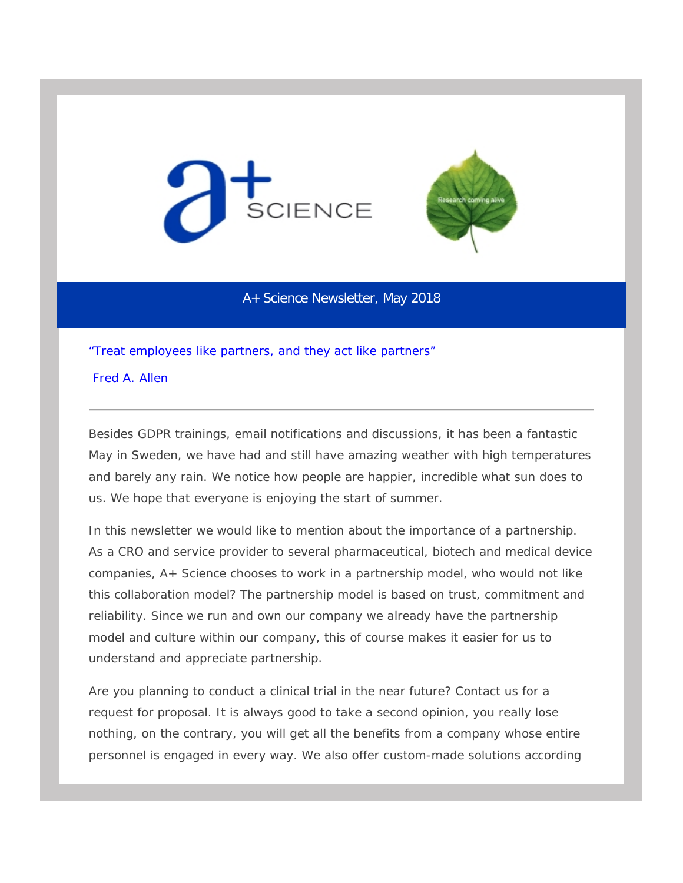



## A+ Science Newsletter, May 2018

## *"Treat employees like partners, and they act like partners"*

Fred A. Allen

Besides GDPR trainings, email notifications and discussions, it has been a fantastic May in Sweden, we have had and still have amazing weather with high temperatures and barely any rain. We notice how people are happier, incredible what sun does to us. We hope that everyone is enjoying the start of summer.

In this newsletter we would like to mention about the importance of a partnership. As a CRO and service provider to several pharmaceutical, biotech and medical device companies, A+ Science chooses to work in a partnership model, who would not like this collaboration model? The partnership model is based on trust, commitment and reliability. Since we run and own our company we already have the partnership model and culture within our company, this of course makes it easier for us to understand and appreciate partnership.

Are you planning to conduct a clinical trial in the near future? Contact us for a request for proposal. It is always good to take a second opinion, you really lose nothing, on the contrary, you will get all the benefits from a company whose entire personnel is engaged in every way. We also offer custom-made solutions according